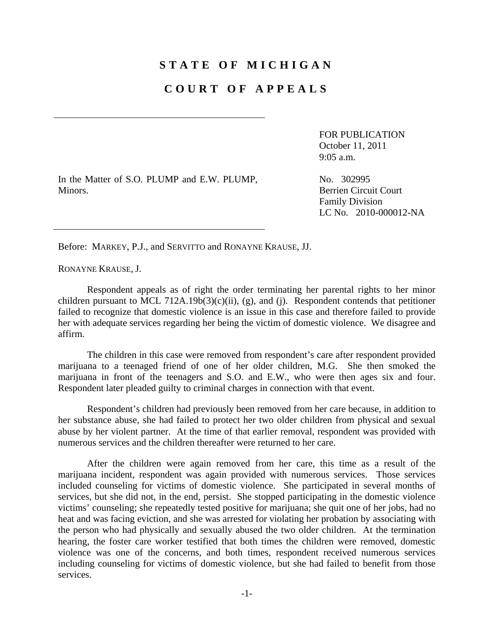## **STATE OF MICHIGAN**

## **COURT OF APPEALS**

FOR PUBLICATION October 11, 2011 9:05 a.m.

In the Matter of S.O. PLUMP and E.W. PLUMP, Minors.

No. 302995 Berrien Circuit Court Family Division LC No. 2010-000012-NA

Before: MARKEY, P.J., and SERVITTO and RONAYNE KRAUSE, JJ.

RONAYNE KRAUSE, J.

 Respondent appeals as of right the order terminating her parental rights to her minor children pursuant to MCL 712A.19b(3)(c)(ii), (g), and (j). Respondent contends that petitioner failed to recognize that domestic violence is an issue in this case and therefore failed to provide her with adequate services regarding her being the victim of domestic violence. We disagree and affirm.

 The children in this case were removed from respondent's care after respondent provided marijuana to a teenaged friend of one of her older children, M.G. She then smoked the marijuana in front of the teenagers and S.O. and E.W., who were then ages six and four. Respondent later pleaded guilty to criminal charges in connection with that event.

 Respondent's children had previously been removed from her care because, in addition to her substance abuse, she had failed to protect her two older children from physical and sexual abuse by her violent partner. At the time of that earlier removal, respondent was provided with numerous services and the children thereafter were returned to her care.

 After the children were again removed from her care, this time as a result of the marijuana incident, respondent was again provided with numerous services. Those services included counseling for victims of domestic violence. She participated in several months of services, but she did not, in the end, persist. She stopped participating in the domestic violence victims' counseling; she repeatedly tested positive for marijuana; she quit one of her jobs, had no heat and was facing eviction, and she was arrested for violating her probation by associating with the person who had physically and sexually abused the two older children. At the termination hearing, the foster care worker testified that both times the children were removed, domestic violence was one of the concerns, and both times, respondent received numerous services including counseling for victims of domestic violence, but she had failed to benefit from those services.